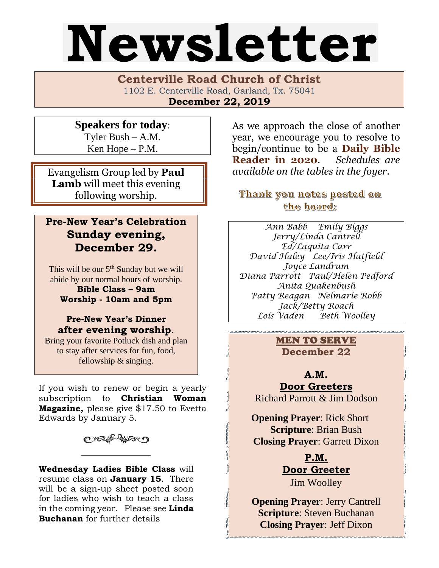# Newsletter

**Centerville Road Church of Christ**  1102 E. Centerville Road, Garland, Tx. 75041 **December 22, 2019**

**Speakers for today**: Tyler Bush – A.M. Ken Hope – P.M.

Evangelism Group led by **Paul Lamb** will meet this evening following worship.

# **Pre-New Year's Celebration Sunday evening, December 29.**

This will be our  $5<sup>th</sup>$  Sunday but we will abide by our normal hours of worship.

**Bible Class – 9am Worship - 10am and 5pm**

# **Pre-New Year's Dinner after evening worship**.

Bring your favorite Potluck dish and plan to stay after services for fun, food, fellowship & singing.

If you wish to renew or begin a yearly subscription to **Christian Woman Magazine,** please give \$17.50 to Evetta Edwards by January 5.

していけいこつ

**Wednesday Ladies Bible Class** will resume class on **January 15**. There will be a sign-up sheet posted soon for ladies who wish to teach a class in the coming year. Please see **Linda Buchanan** for further details

As we approach the close of another year, we encourage you to resolve to begin/continue to be a **Daily Bible Reader in 2020**. *Schedules are available on the tables in the foyer*.

Thank you notes posted on the board:

*Ann Babb Emily Biggs Jerry/Linda Cantrell Ed/Laquita Carr David Haley Lee/Iris Hatfield Joyce Landrum Diana Parrott Paul/Helen Pedford Anita Quakenbush Patty Reagan Nelmarie Robb Jack/Betty Roach Lois Vaden Beth Woolley*

> MEN TO SERVE **December 22**

**A.M. Door Greeters** Richard Parrott & Jim Dodson

 **Opening Prayer**: Rick Short **Scripture**: Brian Bush **Closing Prayer**: Garrett Dixon

> **P.M. Door Greeter** Jim Woolley

**Opening Prayer**: Jerry Cantrell **Scripture**: Steven Buchanan **Closing Prayer**: Jeff Dixon